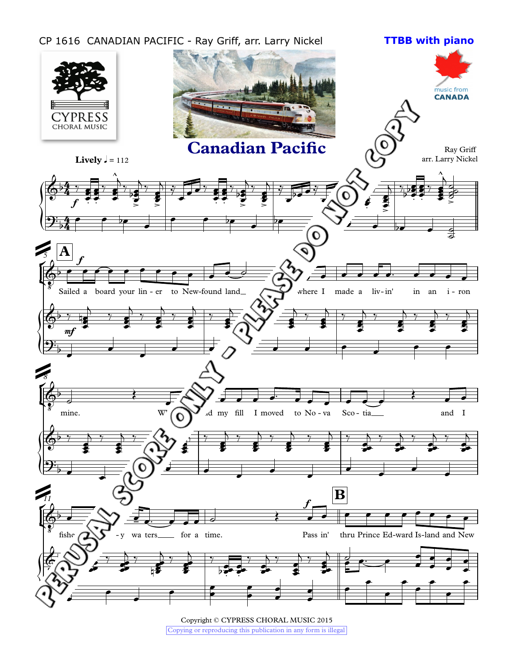## CP 1616 CANADIAN PACIFIC - Ray Griff, arr. Larry Nickel

**TTBB with piano**



Copying or reproducing this publication in any form is illegal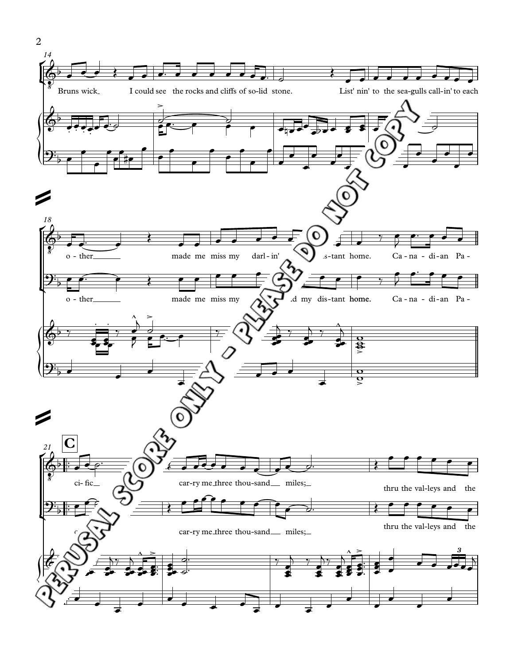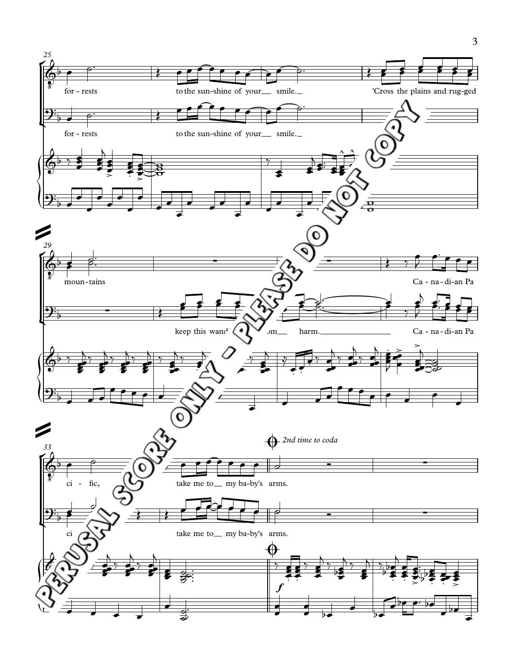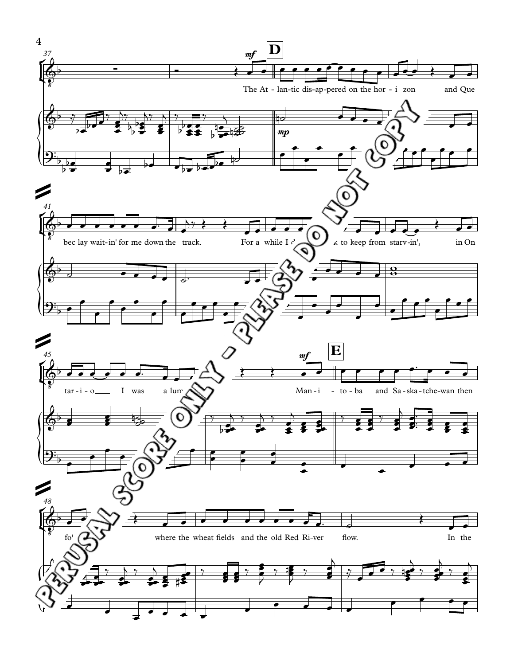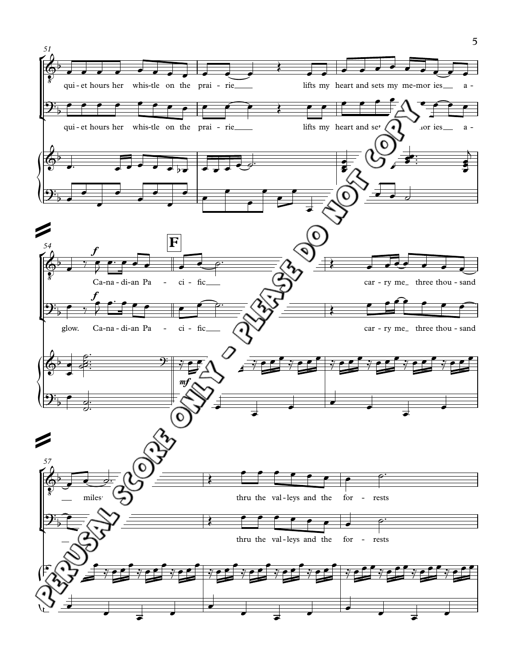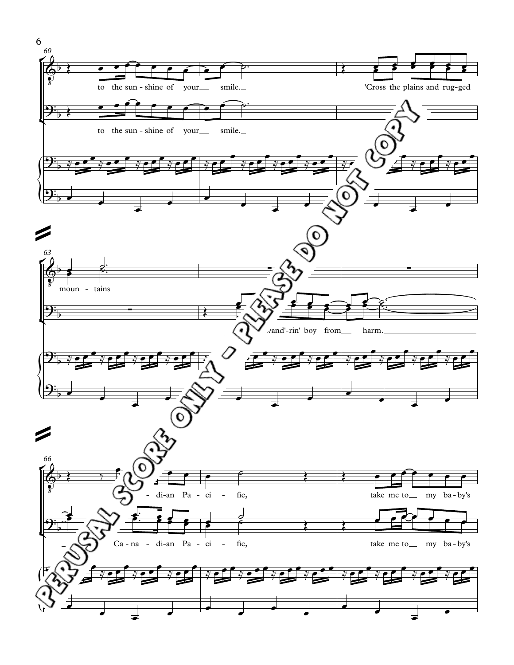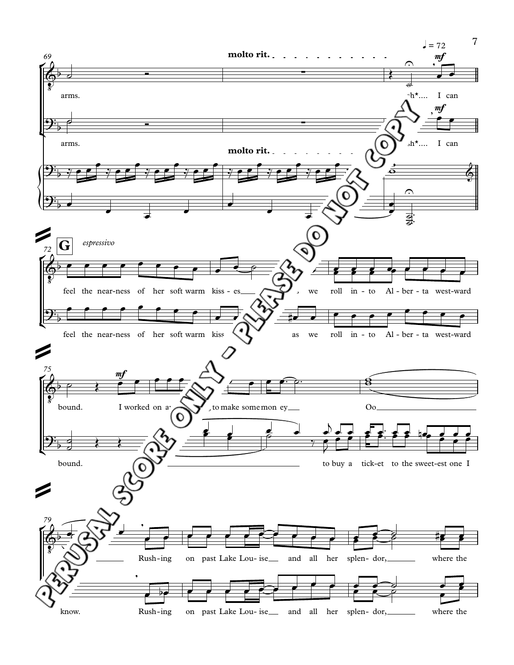